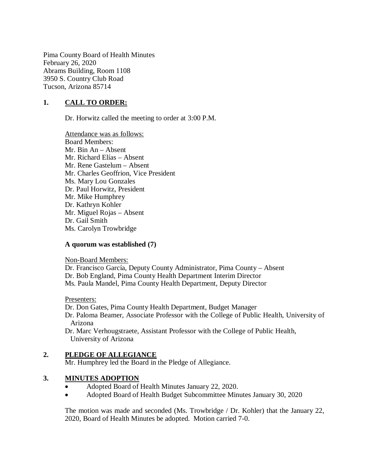Pima County Board of Health Minutes February 26, 2020 Abrams Building, Room 1108 3950 S. Country Club Road Tucson, Arizona 85714

# **1. CALL TO ORDER:**

Dr. Horwitz called the meeting to order at 3:00 P.M.

Attendance was as follows: Board Members: Mr. Bin An – Absent Mr. Richard Elías – Absent Mr. Rene Gastelum – Absent Mr. Charles Geoffrion, Vice President Ms. Mary Lou Gonzales Dr. Paul Horwitz, President Mr. Mike Humphrey Dr. Kathryn Kohler Mr. Miguel Rojas – Absent Dr. Gail Smith Ms. Carolyn Trowbridge

## **A quorum was established (7)**

Non-Board Members:

Dr. Francisco García, Deputy County Administrator, Pima County – Absent Dr. Bob England, Pima County Health Department Interim Director Ms. Paula Mandel, Pima County Health Department, Deputy Director

#### Presenters:

Dr. Don Gates, Pima County Health Department, Budget Manager Dr. Paloma Beamer, Associate Professor with the College of Public Health, University of Arizona Dr. Marc Verhougstraete, Assistant Professor with the College of Public Health,

University of Arizona

## **2. PLEDGE OF ALLEGIANCE**

Mr. Humphrey led the Board in the Pledge of Allegiance.

## **3. MINUTES ADOPTION**

- Adopted Board of Health Minutes January 22, 2020.
- Adopted Board of Health Budget Subcommittee Minutes January 30, 2020

The motion was made and seconded (Ms. Trowbridge / Dr. Kohler) that the January 22, 2020, Board of Health Minutes be adopted. Motion carried 7-0.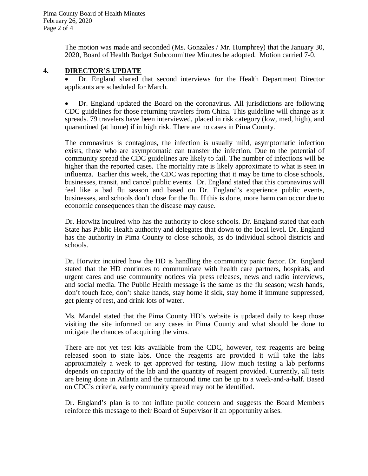The motion was made and seconded (Ms. Gonzales / Mr. Humphrey) that the January 30, 2020, Board of Health Budget Subcommittee Minutes be adopted. Motion carried 7-0.

## **4. DIRECTOR'S UPDATE**

 Dr. England shared that second interviews for the Health Department Director applicants are scheduled for March.

 Dr. England updated the Board on the coronavirus. All jurisdictions are following CDC guidelines for those returning travelers from China. This guideline will change as it spreads. 79 travelers have been interviewed, placed in risk category (low, med, high), and quarantined (at home) if in high risk. There are no cases in Pima County.

The coronavirus is contagious, the infection is usually mild, asymptomatic infection exists, those who are asymptomatic can transfer the infection. Due to the potential of community spread the CDC guidelines are likely to fail. The number of infections will be higher than the reported cases. The mortality rate is likely approximate to what is seen in influenza. Earlier this week, the CDC was reporting that it may be time to close schools, businesses, transit, and cancel public events. Dr. England stated that this coronavirus will feel like a bad flu season and based on Dr. England's experience public events, businesses, and schools don't close for the flu. If this is done, more harm can occur due to economic consequences than the disease may cause.

Dr. Horwitz inquired who has the authority to close schools. Dr. England stated that each State has Public Health authority and delegates that down to the local level. Dr. England has the authority in Pima County to close schools, as do individual school districts and schools.

Dr. Horwitz inquired how the HD is handling the community panic factor. Dr. England stated that the HD continues to communicate with health care partners, hospitals, and urgent cares and use community notices via press releases, news and radio interviews, and social media. The Public Health message is the same as the flu season; wash hands, don't touch face, don't shake hands, stay home if sick, stay home if immune suppressed, get plenty of rest, and drink lots of water.

Ms. Mandel stated that the Pima County HD's website is updated daily to keep those visiting the site informed on any cases in Pima County and what should be done to mitigate the chances of acquiring the virus.

There are not yet test kits available from the CDC, however, test reagents are being released soon to state labs. Once the reagents are provided it will take the labs approximately a week to get approved for testing. How much testing a lab performs depends on capacity of the lab and the quantity of reagent provided. Currently, all tests are being done in Atlanta and the turnaround time can be up to a week-and-a-half. Based on CDC's criteria, early community spread may not be identified.

Dr. England's plan is to not inflate public concern and suggests the Board Members reinforce this message to their Board of Supervisor if an opportunity arises.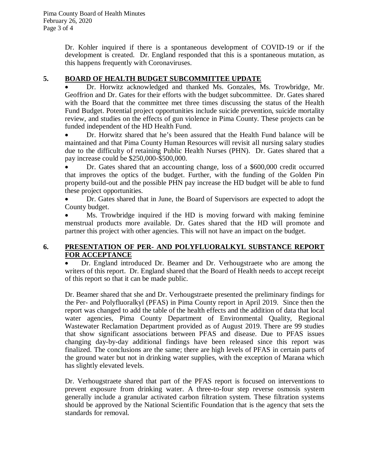Dr. Kohler inquired if there is a spontaneous development of COVID-19 or if the development is created. Dr. England responded that this is a spontaneous mutation, as this happens frequently with Coronaviruses.

## **5. BOARD OF HEALTH BUDGET SUBCOMMITTEE UPDATE**

 Dr. Horwitz acknowledged and thanked Ms. Gonzales, Ms. Trowbridge, Mr. Geoffrion and Dr. Gates for their efforts with the budget subcommittee. Dr. Gates shared with the Board that the committee met three times discussing the status of the Health Fund Budget. Potential project opportunities include suicide prevention, suicide mortality review, and studies on the effects of gun violence in Pima County. These projects can be funded independent of the HD Health Fund.

 Dr. Horwitz shared that he's been assured that the Health Fund balance will be maintained and that Pima County Human Resources will revisit all nursing salary studies due to the difficulty of retaining Public Health Nurses (PHN). Dr. Gates shared that a pay increase could be \$250,000-\$500,000.

 Dr. Gates shared that an accounting change, loss of a \$600,000 credit occurred that improves the optics of the budget. Further, with the funding of the Golden Pin property build-out and the possible PHN pay increase the HD budget will be able to fund these project opportunities.

 Dr. Gates shared that in June, the Board of Supervisors are expected to adopt the County budget.

 Ms. Trowbridge inquired if the HD is moving forward with making feminine menstrual products more available. Dr. Gates shared that the HD will promote and partner this project with other agencies. This will not have an impact on the budget.

## **6. PRESENTATION OF PER- AND POLYFLUORALKYL SUBSTANCE REPORT FOR ACCEPTANCE**

 Dr. England introduced Dr. Beamer and Dr. Verhougstraete who are among the writers of this report. Dr. England shared that the Board of Health needs to accept receipt of this report so that it can be made public.

Dr. Beamer shared that she and Dr. Verhougstraete presented the preliminary findings for the Per- and Polyfluoralkyl (PFAS) in Pima County report in April 2019. Since then the report was changed to add the table of the health effects and the addition of data that local water agencies, Pima County Department of Environmental Quality, Regional Wastewater Reclamation Department provided as of August 2019. There are 99 studies that show significant associations between PFAS and disease. Due to PFAS issues changing day-by-day additional findings have been released since this report was finalized. The conclusions are the same; there are high levels of PFAS in certain parts of the ground water but not in drinking water supplies, with the exception of Marana which has slightly elevated levels.

Dr. Verhougstraete shared that part of the PFAS report is focused on interventions to prevent exposure from drinking water. A three-to-four step reverse osmosis system generally include a granular activated carbon filtration system. These filtration systems should be approved by the National Scientific Foundation that is the agency that sets the standards for removal.